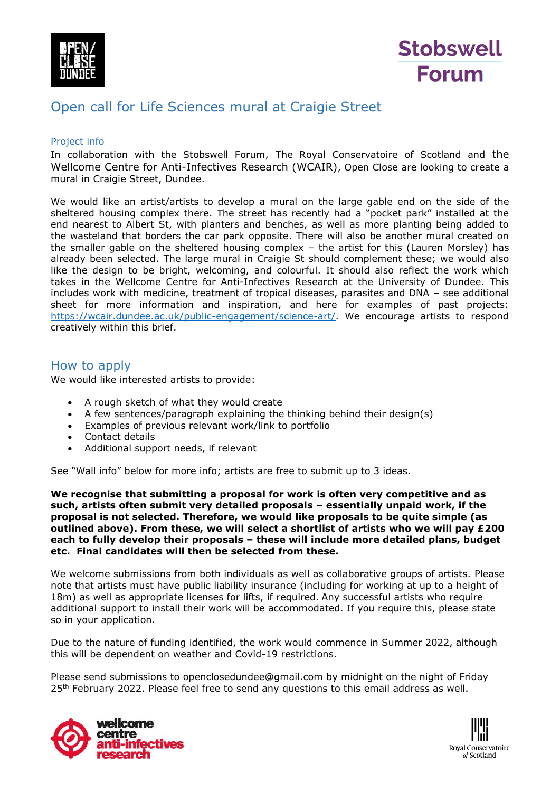



## Open call for Life Sciences mural at Craigie Street

## Project info

In collaboration with the Stobswell Forum, The Royal Conservatoire of Scotland and the Wellcome Centre for Anti-Infectives Research (WCAIR), Open Close are looking to create a mural in Craigie Street, Dundee.

We would like an artist/artists to develop a mural on the large gable end on the side of the sheltered housing complex there. The street has recently had a "pocket park" installed at the end nearest to Albert St, with planters and benches, as well as more planting being added to the wasteland that borders the car park opposite. There will also be another mural created on the smaller gable on the sheltered housing complex – the artist for this (Lauren Morsley) has already been selected. The large mural in Craigie St should complement these; we would also like the design to be bright, welcoming, and colourful. It should also reflect the work which takes in the Wellcome Centre for Anti-Infectives Research at the University of Dundee. This includes work with medicine, treatment of tropical diseases, parasites and DNA – see additional sheet for more information and inspiration, and here for examples of past projects: [https://wcair.dundee.ac.uk/public-engagement/science-art/.](https://wcair.dundee.ac.uk/public-engagement/science-art/) We encourage artists to respond creatively within this brief.

## How to apply

We would like interested artists to provide:

- A rough sketch of what they would create
- A few sentences/paragraph explaining the thinking behind their design(s)
- Examples of previous relevant work/link to portfolio
- Contact details
- Additional support needs, if relevant

See "Wall info" below for more info; artists are free to submit up to 3 ideas.

**We recognise that submitting a proposal for work is often very competitive and as such, artists often submit very detailed proposals – essentially unpaid work, if the proposal is not selected. Therefore, we would like proposals to be quite simple (as outlined above). From these, we will select a shortlist of artists who we will pay £200 each to fully develop their proposals – these will include more detailed plans, budget etc. Final candidates will then be selected from these.** 

We welcome submissions from both individuals as well as collaborative groups of artists. Please note that artists must have public liability insurance (including for working at up to a height of 18m) as well as appropriate licenses for lifts, if required. Any successful artists who require additional support to install their work will be accommodated. If you require this, please state so in your application.

Due to the nature of funding identified, the work would commence in Summer 2022, although this will be dependent on weather and Covid-19 restrictions.

Please send submissions to openclosedundee@gmail.com by midnight on the night of Friday 25<sup>th</sup> February 2022. Please feel free to send any questions to this email address as well.



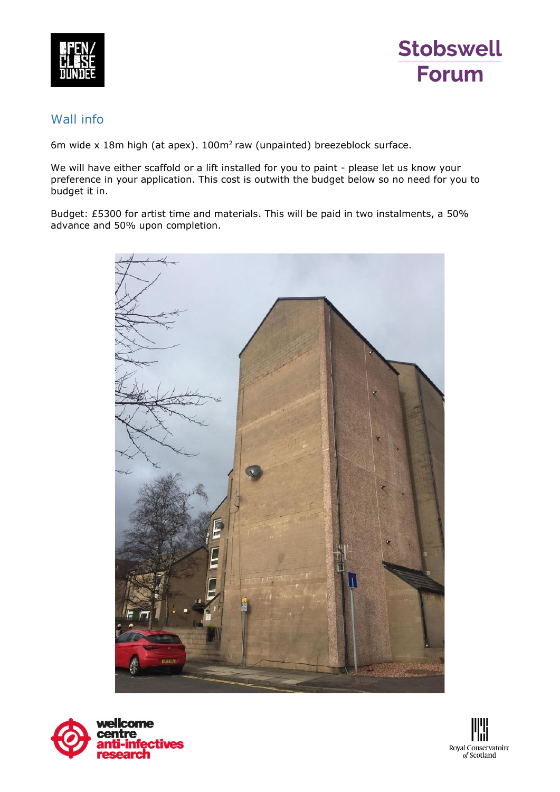



## Wall info

6m wide x 18m high (at apex).  $100m^2$  raw (unpainted) breezeblock surface.

We will have either scaffold or a lift installed for you to paint - please let us know your preference in your application. This cost is outwith the budget below so no need for you to budget it in.

Budget: £5300 for artist time and materials. This will be paid in two instalments, a 50% advance and 50% upon completion.